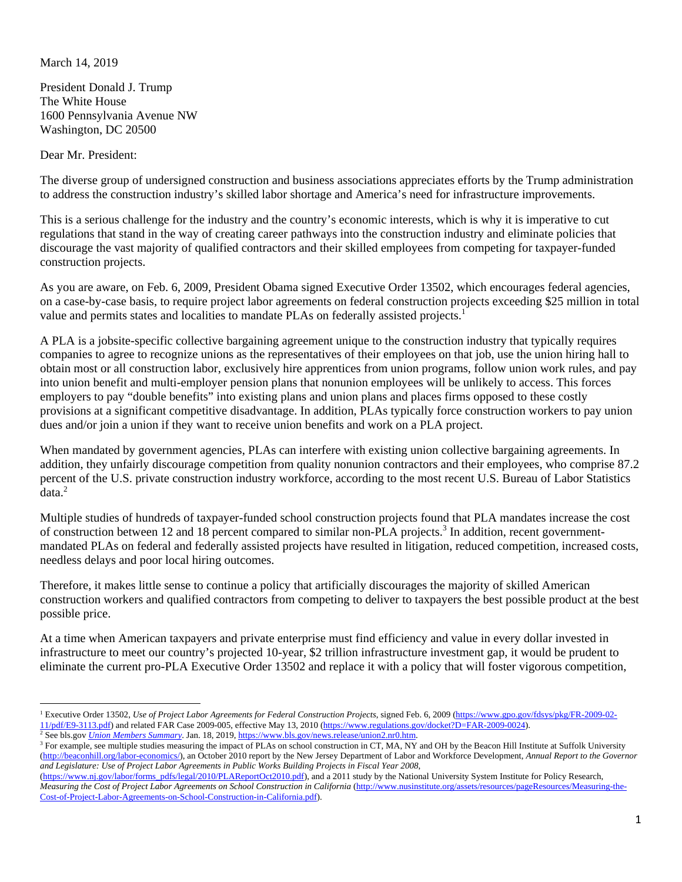## March 14, 2019

President Donald J. Trump The White House 1600 Pennsylvania Avenue NW Washington, DC 20500

Dear Mr. President:

The diverse group of undersigned construction and business associations appreciates efforts by the Trump administration to address the construction industry's skilled labor shortage and America's need for infrastructure improvements.

This is a serious challenge for the industry and the country's economic interests, which is why it is imperative to cut regulations that stand in the way of creating career pathways into the construction industry and eliminate policies that discourage the vast majority of qualified contractors and their skilled employees from competing for taxpayer-funded construction projects.

As you are aware, on Feb. 6, 2009, President Obama signed Executive Order 13502, which encourages federal agencies, on a case-by-case basis, to require project labor agreements on federal construction projects exceeding \$25 million in total value and permits states and localities to mandate PLAs on federally assisted projects.<sup>1</sup>

A PLA is a jobsite-specific collective bargaining agreement unique to the construction industry that typically requires companies to agree to recognize unions as the representatives of their employees on that job, use the union hiring hall to obtain most or all construction labor, exclusively hire apprentices from union programs, follow union work rules, and pay into union benefit and multi-employer pension plans that nonunion employees will be unlikely to access. This forces employers to pay "double benefits" into existing plans and union plans and places firms opposed to these costly provisions at a significant competitive disadvantage. In addition, PLAs typically force construction workers to pay union dues and/or join a union if they want to receive union benefits and work on a PLA project.

When mandated by government agencies, PLAs can interfere with existing union collective bargaining agreements. In addition, they unfairly discourage competition from quality nonunion contractors and their employees, who comprise 87.2 percent of the U.S. private construction industry workforce, according to the most recent U.S. Bureau of Labor Statistics data.<sup>2</sup>

Multiple studies of hundreds of taxpayer-funded school construction projects found that PLA mandates increase the cost of construction between 12 and 18 percent compared to similar non-PLA projects.<sup>3</sup> In addition, recent governmentmandated PLAs on federal and federally assisted projects have resulted in litigation, reduced competition, increased costs, needless delays and poor local hiring outcomes.

Therefore, it makes little sense to continue a policy that artificially discourages the majority of skilled American construction workers and qualified contractors from competing to deliver to taxpayers the best possible product at the best possible price.

At a time when American taxpayers and private enterprise must find efficiency and value in every dollar invested in infrastructure to meet our country's projected 10-year, \$2 trillion infrastructure investment gap, it would be prudent to eliminate the current pro-PLA Executive Order 13502 and replace it with a policy that will foster vigorous competition,

<sup>&</sup>lt;sup>1</sup> Executive Order 13502, *Use of Project Labor Agreements for Federal Construction Projects*, signed Feb. 6, 2009 (https://www.gpo.gov/fdsys/pkg/FR-2009-02- $\frac{11/pdf/E9-3113.pdf}{2}$  and related FAR Case 2009-005, effective May 13, 2010 (https://www.regulations.gov/docket?D=FAR-2009-0024).

<sup>&</sup>lt;sup>2</sup> See bls.gov *Union Members Summary*. Jan. 18, 2019, https://www.bls.gov/news.release/union2.nr0.htm.  $\frac{3}{2}$  For example, see multiple studies measuring the impact of PLAs on school construction in CT. MA. NV

<sup>&</sup>lt;sup>3</sup> For example, see multiple studies measuring the impact of PLAs on school construction in CT, MA, NY and OH by the Beacon Hill Institute at Suffolk University (http://beaconhill.org/labor-economics/), an October 2010 report by the New Jersey Department of Labor and Workforce Development, *Annual Report to the Governor and Legislature: Use of Project Labor Agreements in Public Works Building Projects in Fiscal Year 2008*,

<sup>(</sup>https://www.nj.gov/labor/forms\_pdfs/legal/2010/PLAReportOct2010.pdf), and a 2011 study by the National University System Institute for Policy Research, *Measuring the Cost of Project Labor Agreements on School Construction in California* (http://www.nusinstitute.org/assets/resources/pageResources/Measuring-the-Cost-of-Project-Labor-Agreements-on-School-Construction-in-California.pdf).